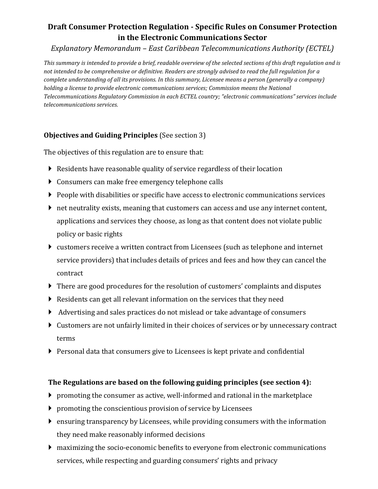# **Draft Consumer Protection Regulation - Specific Rules on Consumer Protection in the Electronic Communications Sector**

*Explanatory Memorandum – East Caribbean Telecommunications Authority (ECTEL)*

*This summary is intended to provide a brief, readable overview of the selected sections of this draft regulation and is not intended to be comprehensive or definitive. Readers are strongly advised to read the full regulation for a complete understanding of all its provisions. In this summary, Licensee means a person (generally a company) holding a license to provide electronic communications services; Commission means the National Telecommunications Regulatory Commission in each ECTEL country; "electronic communications" services include telecommunications services.* 

# **Objectives and Guiding Principles** (See section 3)

The objectives of this regulation are to ensure that:

- Residents have reasonable quality of service regardless of their location
- Consumers can make free emergency telephone calls
- People with disabilities or specific have access to electronic communications services
- net neutrality exists, meaning that customers can access and use any internet content, applications and services they choose, as long as that content does not violate public policy or basic rights
- customers receive a written contract from Licensees (such as telephone and internet service providers) that includes details of prices and fees and how they can cancel the contract
- There are good procedures for the resolution of customers' complaints and disputes
- $\triangleright$  Residents can get all relevant information on the services that they need
- Advertising and sales practices do not mislead or take advantage of consumers
- Customers are not unfairly limited in their choices of services or by unnecessary contract terms
- Personal data that consumers give to Licensees is kept private and confidential

# **The Regulations are based on the following guiding principles (see section 4):**

- $\triangleright$  promoting the consumer as active, well-informed and rational in the marketplace
- promoting the conscientious provision of service by Licensees
- ensuring transparency by Licensees, while providing consumers with the information they need make reasonably informed decisions
- maximizing the socio-economic benefits to everyone from electronic communications services, while respecting and guarding consumers' rights and privacy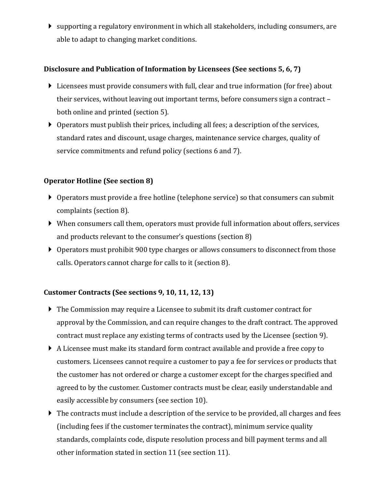supporting a regulatory environment in which all stakeholders, including consumers, are able to adapt to changing market conditions.

### **Disclosure and Publication of Information by Licensees (See sections 5, 6, 7)**

- Licensees must provide consumers with full, clear and true information (for free) about their services, without leaving out important terms, before consumers sign a contract – both online and printed (section 5).
- Operators must publish their prices, including all fees; a description of the services, standard rates and discount, usage charges, maintenance service charges, quality of service commitments and refund policy (sections 6 and 7).

### **Operator Hotline (See section 8)**

- Operators must provide a free hotline (telephone service) so that consumers can submit complaints (section 8).
- When consumers call them, operators must provide full information about offers, services and products relevant to the consumer's questions (section 8)
- Operators must prohibit 900 type charges or allows consumers to disconnect from those calls. Operators cannot charge for calls to it (section 8).

## **Customer Contracts (See sections 9, 10, 11, 12, 13)**

- The Commission may require a Licensee to submit its draft customer contract for approval by the Commission, and can require changes to the draft contract. The approved contract must replace any existing terms of contracts used by the Licensee (section 9).
- A Licensee must make its standard form contract available and provide a free copy to customers. Licensees cannot require a customer to pay a fee for services or products that the customer has not ordered or charge a customer except for the charges specified and agreed to by the customer. Customer contracts must be clear, easily understandable and easily accessible by consumers (see section 10).
- The contracts must include a description of the service to be provided, all charges and fees (including fees if the customer terminates the contract), minimum service quality standards, complaints code, dispute resolution process and bill payment terms and all other information stated in section 11 (see section 11).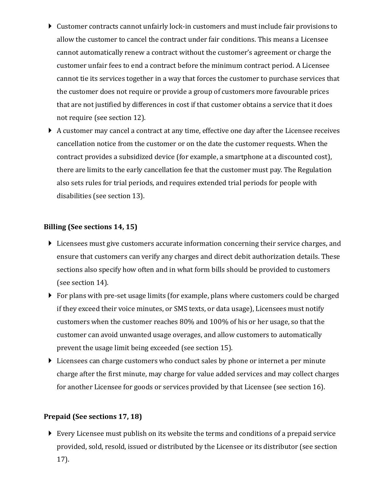- Customer contracts cannot unfairly lock-in customers and must include fair provisions to allow the customer to cancel the contract under fair conditions. This means a Licensee cannot automatically renew a contract without the customer's agreement or charge the customer unfair fees to end a contract before the minimum contract period. A Licensee cannot tie its services together in a way that forces the customer to purchase services that the customer does not require or provide a group of customers more favourable prices that are not justified by differences in cost if that customer obtains a service that it does not require (see section 12).
- A customer may cancel a contract at any time, effective one day after the Licensee receives cancellation notice from the customer or on the date the customer requests. When the contract provides a subsidized device (for example, a smartphone at a discounted cost), there are limits to the early cancellation fee that the customer must pay. The Regulation also sets rules for trial periods, and requires extended trial periods for people with disabilities (see section 13).

## **Billing (See sections 14, 15)**

- Licensees must give customers accurate information concerning their service charges, and ensure that customers can verify any charges and direct debit authorization details. These sections also specify how often and in what form bills should be provided to customers (see section 14).
- For plans with pre-set usage limits (for example, plans where customers could be charged if they exceed their voice minutes, or SMS texts, or data usage), Licensees must notify customers when the customer reaches 80% and 100% of his or her usage, so that the customer can avoid unwanted usage overages, and allow customers to automatically prevent the usage limit being exceeded (see section 15).
- Licensees can charge customers who conduct sales by phone or internet a per minute charge after the first minute, may charge for value added services and may collect charges for another Licensee for goods or services provided by that Licensee (see section 16).

### **Prepaid (See sections 17, 18)**

 Every Licensee must publish on its website the terms and conditions of a prepaid service provided, sold, resold, issued or distributed by the Licensee or its distributor (see section 17).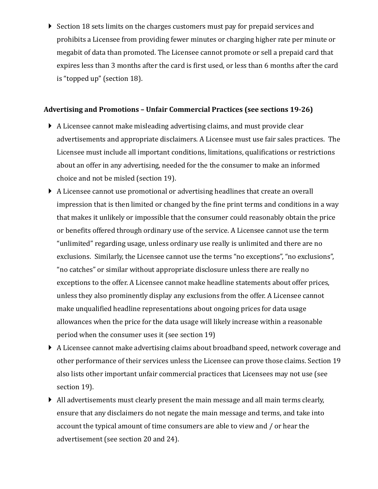Section 18 sets limits on the charges customers must pay for prepaid services and prohibits a Licensee from providing fewer minutes or charging higher rate per minute or megabit of data than promoted. The Licensee cannot promote or sell a prepaid card that expires less than 3 months after the card is first used, or less than 6 months after the card is "topped up" (section 18).

#### **Advertising and Promotions – Unfair Commercial Practices (see sections 19-26)**

- A Licensee cannot make misleading advertising claims, and must provide clear advertisements and appropriate disclaimers. A Licensee must use fair sales practices. The Licensee must include all important conditions, limitations, qualifications or restrictions about an offer in any advertising, needed for the the consumer to make an informed choice and not be misled (section 19).
- A Licensee cannot use promotional or advertising headlines that create an overall impression that is then limited or changed by the fine print terms and conditions in a way that makes it unlikely or impossible that the consumer could reasonably obtain the price or benefits offered through ordinary use of the service. A Licensee cannot use the term "unlimited" regarding usage, unless ordinary use really is unlimited and there are no exclusions. Similarly, the Licensee cannot use the terms "no exceptions", "no exclusions", "no catches" or similar without appropriate disclosure unless there are really no exceptions to the offer. A Licensee cannot make headline statements about offer prices, unless they also prominently display any exclusions from the offer. A Licensee cannot make unqualified headline representations about ongoing prices for data usage allowances when the price for the data usage will likely increase within a reasonable period when the consumer uses it (see section 19)
- A Licensee cannot make advertising claims about broadband speed, network coverage and other performance of their services unless the Licensee can prove those claims. Section 19 also lists other important unfair commercial practices that Licensees may not use (see section 19).
- All advertisements must clearly present the main message and all main terms clearly, ensure that any disclaimers do not negate the main message and terms, and take into account the typical amount of time consumers are able to view and / or hear the advertisement (see section 20 and 24).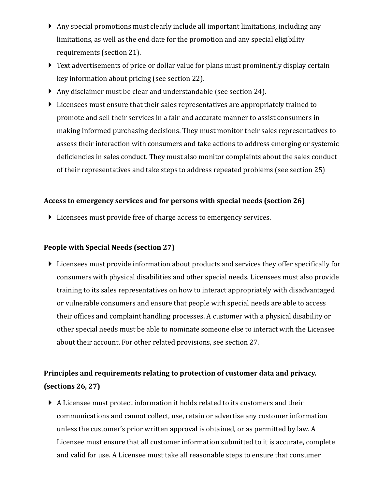- Any special promotions must clearly include all important limitations, including any limitations, as well as the end date for the promotion and any special eligibility requirements (section 21).
- Text advertisements of price or dollar value for plans must prominently display certain key information about pricing (see section 22).
- Any disclaimer must be clear and understandable (see section 24).
- Licensees must ensure that their sales representatives are appropriately trained to promote and sell their services in a fair and accurate manner to assist consumers in making informed purchasing decisions. They must monitor their sales representatives to assess their interaction with consumers and take actions to address emerging or systemic deficiencies in sales conduct. They must also monitor complaints about the sales conduct of their representatives and take steps to address repeated problems (see section 25)

## **Access to emergency services and for persons with special needs (section 26)**

 $\triangleright$  Licensees must provide free of charge access to emergency services.

# **People with Special Needs (section 27)**

 Licensees must provide information about products and services they offer specifically for consumers with physical disabilities and other special needs. Licensees must also provide training to its sales representatives on how to interact appropriately with disadvantaged or vulnerable consumers and ensure that people with special needs are able to access their offices and complaint handling processes. A customer with a physical disability or other special needs must be able to nominate someone else to interact with the Licensee about their account. For other related provisions, see section 27.

# **Principles and requirements relating to protection of customer data and privacy. (sections 26, 27)**

 A Licensee must protect information it holds related to its customers and their communications and cannot collect, use, retain or advertise any customer information unless the customer's prior written approval is obtained, or as permitted by law. A Licensee must ensure that all customer information submitted to it is accurate, complete and valid for use. A Licensee must take all reasonable steps to ensure that consumer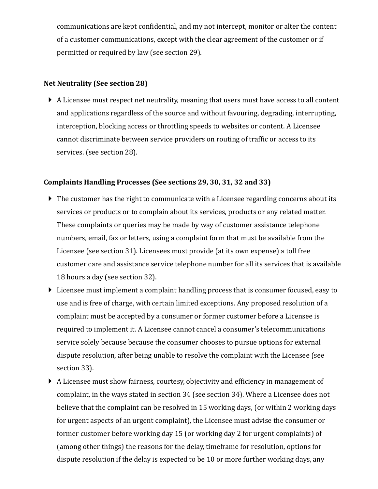communications are kept confidential, and my not intercept, monitor or alter the content of a customer communications, except with the clear agreement of the customer or if permitted or required by law (see section 29).

### **Net Neutrality (See section 28)**

 A Licensee must respect net neutrality, meaning that users must have access to all content and applications regardless of the source and without favouring, degrading, interrupting, interception, blocking access or throttling speeds to websites or content. A Licensee cannot discriminate between service providers on routing of traffic or access to its services. (see section 28).

### **Complaints Handling Processes (See sections 29, 30, 31, 32 and 33)**

- ▶ The customer has the right to communicate with a Licensee regarding concerns about its services or products or to complain about its services, products or any related matter. These complaints or queries may be made by way of customer assistance telephone numbers, email, fax or letters, using a complaint form that must be available from the Licensee (see section 31). Licensees must provide (at its own expense) a toll free customer care and assistance service telephone number for all its services that is available 18 hours a day (see section 32).
- Licensee must implement a complaint handling process that is consumer focused, easy to use and is free of charge, with certain limited exceptions. Any proposed resolution of a complaint must be accepted by a consumer or former customer before a Licensee is required to implement it. A Licensee cannot cancel a consumer's telecommunications service solely because because the consumer chooses to pursue options for external dispute resolution, after being unable to resolve the complaint with the Licensee (see section 33).
- A Licensee must show fairness, courtesy, objectivity and efficiency in management of complaint, in the ways stated in section 34 (see section 34). Where a Licensee does not believe that the complaint can be resolved in 15 working days, (or within 2 working days for urgent aspects of an urgent complaint), the Licensee must advise the consumer or former customer before working day 15 (or working day 2 for urgent complaints) of (among other things) the reasons for the delay, timeframe for resolution, options for dispute resolution if the delay is expected to be 10 or more further working days, any